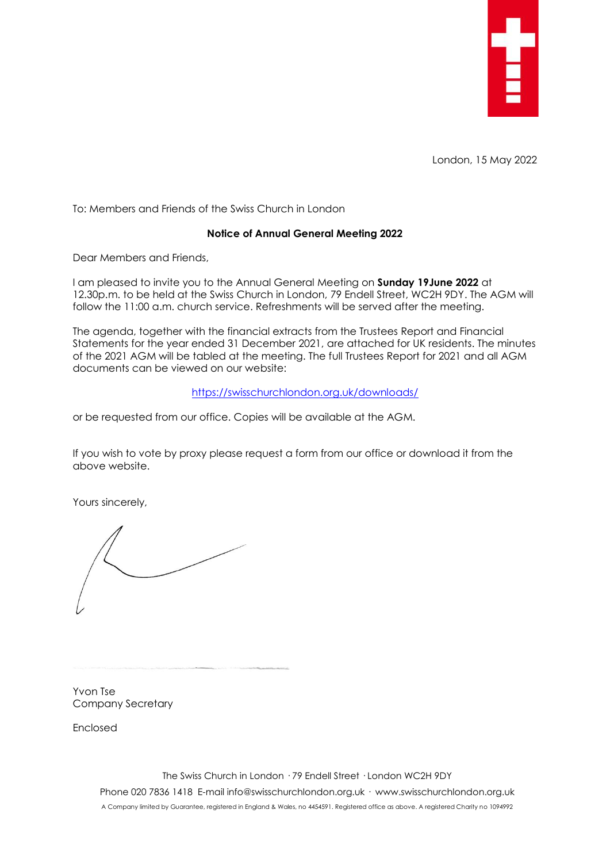

London, 15 May 2022

To: Members and Friends of the Swiss Church in London

## **Notice of Annual General Meeting 2022**

Dear Members and Friends,

I am pleased to invite you to the Annual General Meeting on **Sunday 19June 2022** at 12.30p.m. to be held at the Swiss Church in London, 79 Endell Street, WC2H 9DY. The AGM will follow the 11:00 a.m. church service. Refreshments will be served after the meeting.

The agenda, together with the financial extracts from the Trustees Report and Financial Statements for the year ended 31 December 2021, are attached for UK residents. The minutes of the 2021 AGM will be tabled at the meeting. The full Trustees Report for 2021 and all AGM documents can be viewed on our website:

## <https://swisschurchlondon.org.uk/downloads/>

or be requested from our office. Copies will be available at the AGM.

If you wish to vote by proxy please request a form from our office or download it from the above website.

Yours sincerely,

Yvon Tse Company Secretary

Enclosed

The Swiss Church in London · 79 Endell Street · London WC2H 9DY Phone 020 7836 1418 E-mail info@swisschurchlondon.org.uk · www.swisschurchlondon.org.uk A Company limited by Guarantee, registered in England & Wales, no 4454591. Registered office as above. A registered Charity no 1094992